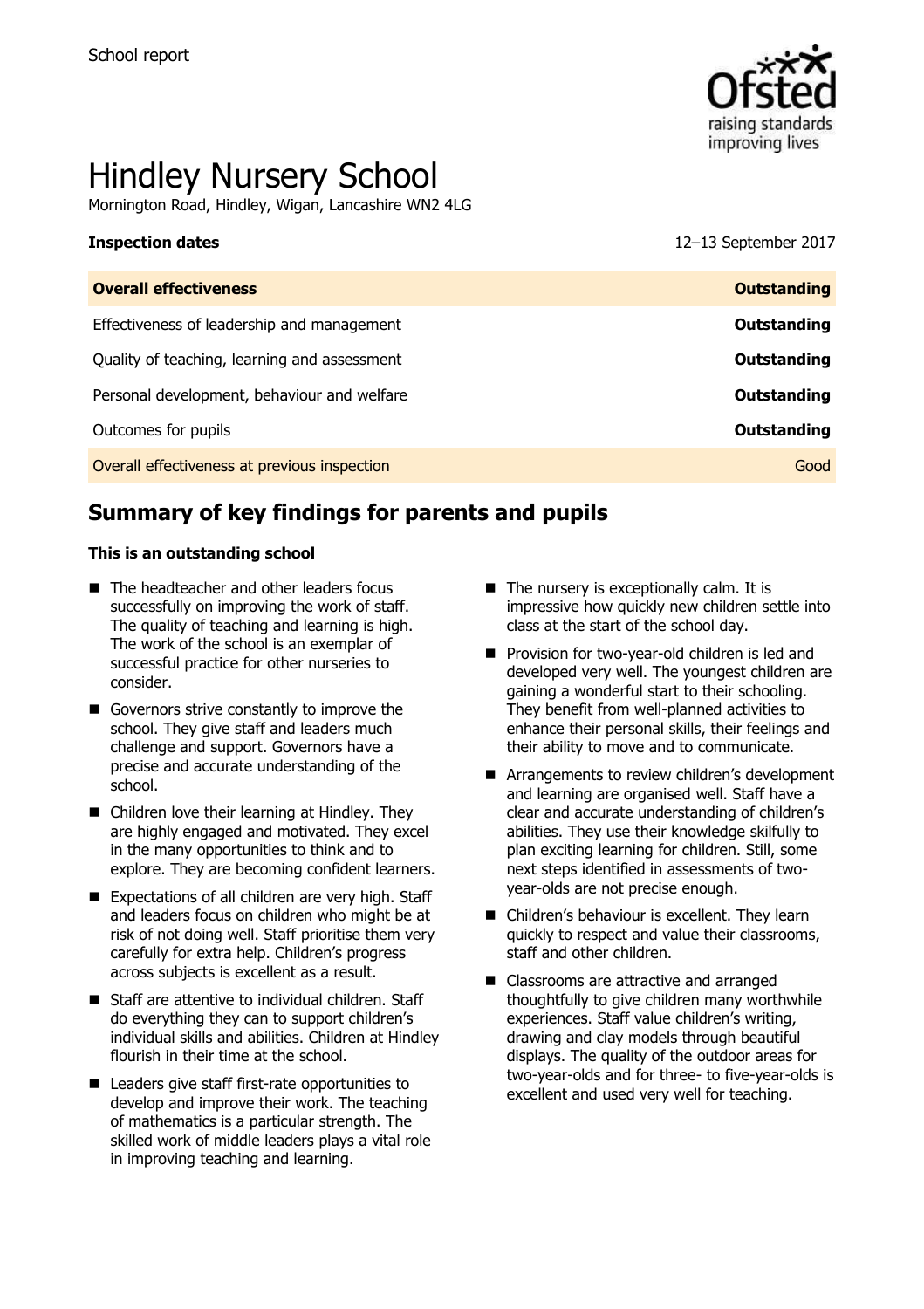

# Hindley Nursery School

Mornington Road, Hindley, Wigan, Lancashire WN2 4LG

**Inspection dates** 12–13 September 2017

| <b>Outstanding</b> |
|--------------------|
| Outstanding        |
| Outstanding        |
| Outstanding        |
| Outstanding        |
| Good               |
|                    |

# **Summary of key findings for parents and pupils**

### **This is an outstanding school**

- The headteacher and other leaders focus successfully on improving the work of staff. The quality of teaching and learning is high. The work of the school is an exemplar of successful practice for other nurseries to consider.
- Governors strive constantly to improve the school. They give staff and leaders much challenge and support. Governors have a precise and accurate understanding of the school.
- Children love their learning at Hindley. They are highly engaged and motivated. They excel in the many opportunities to think and to explore. They are becoming confident learners.
- Expectations of all children are very high. Staff and leaders focus on children who might be at risk of not doing well. Staff prioritise them very carefully for extra help. Children's progress across subjects is excellent as a result.
- Staff are attentive to individual children. Staff do everything they can to support children's individual skills and abilities. Children at Hindley flourish in their time at the school.
- Leaders give staff first-rate opportunities to develop and improve their work. The teaching of mathematics is a particular strength. The skilled work of middle leaders plays a vital role in improving teaching and learning.
- $\blacksquare$  The nursery is exceptionally calm. It is impressive how quickly new children settle into class at the start of the school day.
- Provision for two-year-old children is led and developed very well. The youngest children are gaining a wonderful start to their schooling. They benefit from well-planned activities to enhance their personal skills, their feelings and their ability to move and to communicate.
- Arrangements to review children's development and learning are organised well. Staff have a clear and accurate understanding of children's abilities. They use their knowledge skilfully to plan exciting learning for children. Still, some next steps identified in assessments of twoyear-olds are not precise enough.
- Children's behaviour is excellent. They learn quickly to respect and value their classrooms, staff and other children.
- Classrooms are attractive and arranged thoughtfully to give children many worthwhile experiences. Staff value children's writing, drawing and clay models through beautiful displays. The quality of the outdoor areas for two-year-olds and for three- to five-year-olds is excellent and used very well for teaching.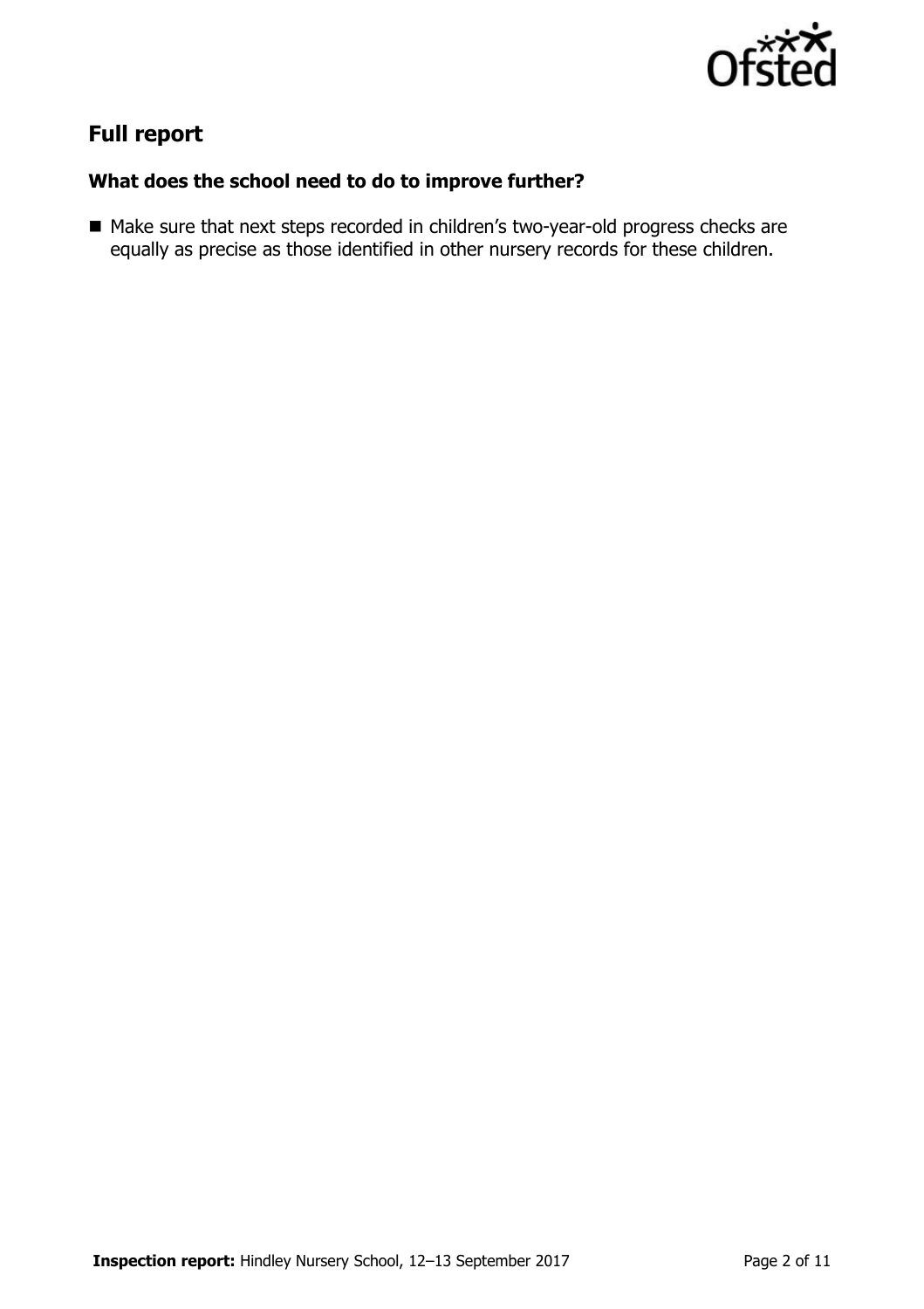

# **Full report**

### **What does the school need to do to improve further?**

■ Make sure that next steps recorded in children's two-year-old progress checks are equally as precise as those identified in other nursery records for these children.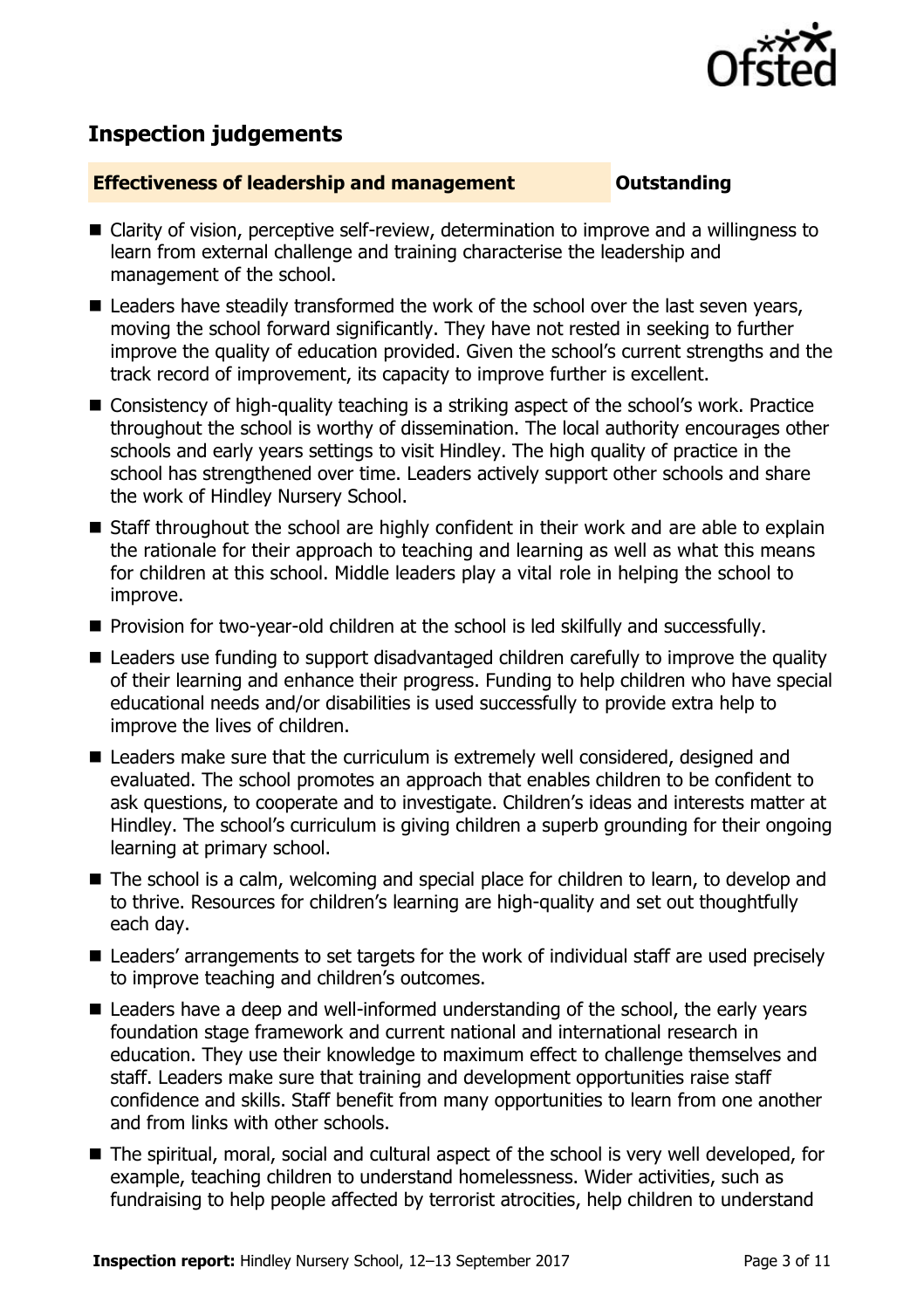

## **Inspection judgements**

### **Effectiveness of leadership and management Constanding**

- Clarity of vision, perceptive self-review, determination to improve and a willingness to learn from external challenge and training characterise the leadership and management of the school.
- Leaders have steadily transformed the work of the school over the last seven years, moving the school forward significantly. They have not rested in seeking to further improve the quality of education provided. Given the school's current strengths and the track record of improvement, its capacity to improve further is excellent.
- Consistency of high-quality teaching is a striking aspect of the school's work. Practice throughout the school is worthy of dissemination. The local authority encourages other schools and early years settings to visit Hindley. The high quality of practice in the school has strengthened over time. Leaders actively support other schools and share the work of Hindley Nursery School.
- Staff throughout the school are highly confident in their work and are able to explain the rationale for their approach to teaching and learning as well as what this means for children at this school. Middle leaders play a vital role in helping the school to improve.
- **Provision for two-year-old children at the school is led skilfully and successfully.**
- Leaders use funding to support disadvantaged children carefully to improve the quality of their learning and enhance their progress. Funding to help children who have special educational needs and/or disabilities is used successfully to provide extra help to improve the lives of children.
- Leaders make sure that the curriculum is extremely well considered, designed and evaluated. The school promotes an approach that enables children to be confident to ask questions, to cooperate and to investigate. Children's ideas and interests matter at Hindley. The school's curriculum is giving children a superb grounding for their ongoing learning at primary school.
- The school is a calm, welcoming and special place for children to learn, to develop and to thrive. Resources for children's learning are high-quality and set out thoughtfully each day.
- Leaders' arrangements to set targets for the work of individual staff are used precisely to improve teaching and children's outcomes.
- Leaders have a deep and well-informed understanding of the school, the early years foundation stage framework and current national and international research in education. They use their knowledge to maximum effect to challenge themselves and staff. Leaders make sure that training and development opportunities raise staff confidence and skills. Staff benefit from many opportunities to learn from one another and from links with other schools.
- The spiritual, moral, social and cultural aspect of the school is very well developed, for example, teaching children to understand homelessness. Wider activities, such as fundraising to help people affected by terrorist atrocities, help children to understand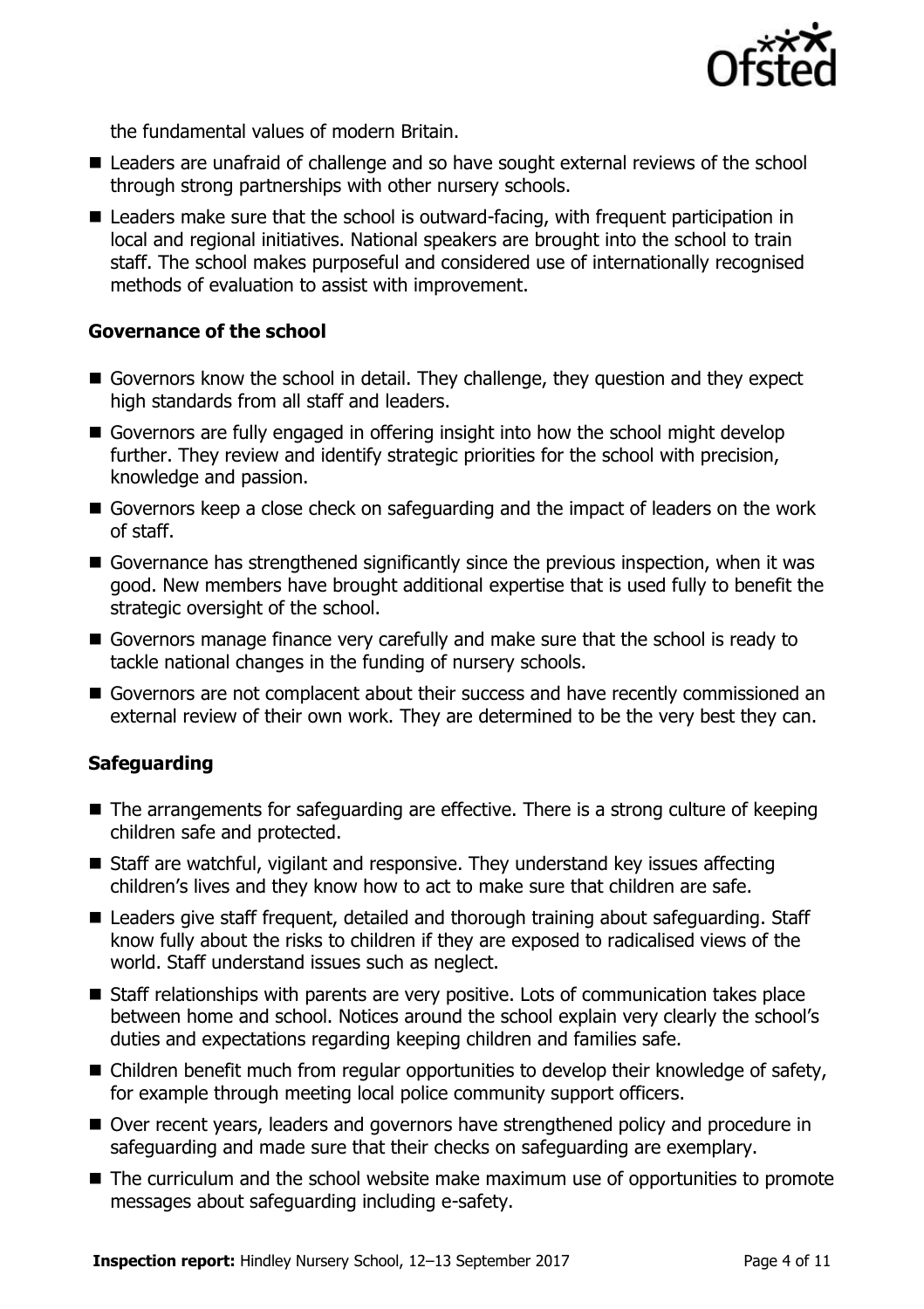

the fundamental values of modern Britain.

- Leaders are unafraid of challenge and so have sought external reviews of the school through strong partnerships with other nursery schools.
- Leaders make sure that the school is outward-facing, with frequent participation in local and regional initiatives. National speakers are brought into the school to train staff. The school makes purposeful and considered use of internationally recognised methods of evaluation to assist with improvement.

### **Governance of the school**

- Governors know the school in detail. They challenge, they question and they expect high standards from all staff and leaders.
- Governors are fully engaged in offering insight into how the school might develop further. They review and identify strategic priorities for the school with precision, knowledge and passion.
- Governors keep a close check on safeguarding and the impact of leaders on the work of staff.
- Governance has strengthened significantly since the previous inspection, when it was good. New members have brought additional expertise that is used fully to benefit the strategic oversight of the school.
- Governors manage finance very carefully and make sure that the school is ready to tackle national changes in the funding of nursery schools.
- Governors are not complacent about their success and have recently commissioned an external review of their own work. They are determined to be the very best they can.

### **Safeguarding**

- The arrangements for safeguarding are effective. There is a strong culture of keeping children safe and protected.
- Staff are watchful, vigilant and responsive. They understand key issues affecting children's lives and they know how to act to make sure that children are safe.
- Leaders give staff frequent, detailed and thorough training about safeguarding. Staff know fully about the risks to children if they are exposed to radicalised views of the world. Staff understand issues such as neglect.
- Staff relationships with parents are very positive. Lots of communication takes place between home and school. Notices around the school explain very clearly the school's duties and expectations regarding keeping children and families safe.
- Children benefit much from regular opportunities to develop their knowledge of safety, for example through meeting local police community support officers.
- Over recent years, leaders and governors have strengthened policy and procedure in safeguarding and made sure that their checks on safeguarding are exemplary.
- The curriculum and the school website make maximum use of opportunities to promote messages about safeguarding including e-safety.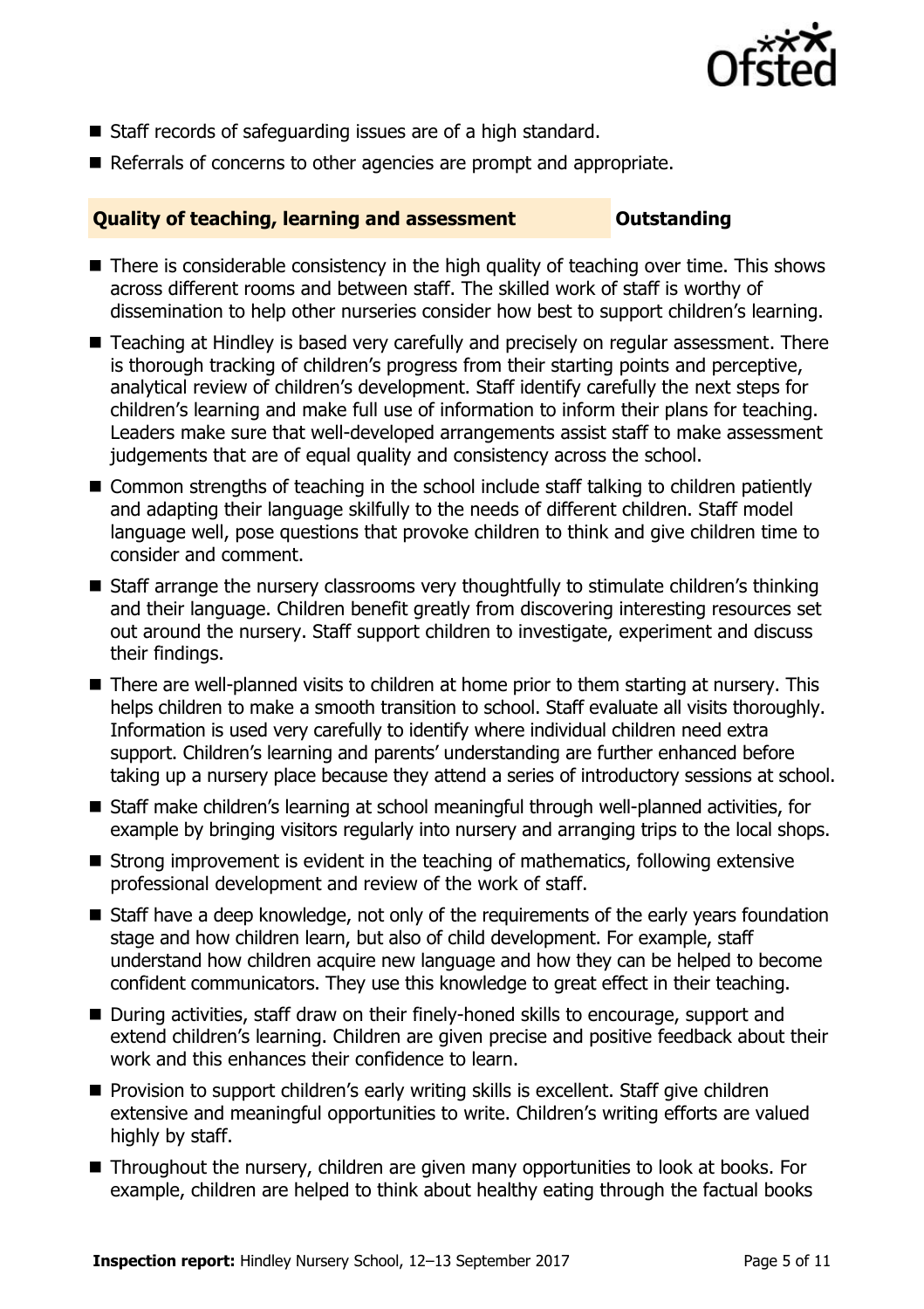

- Staff records of safeguarding issues are of a high standard.
- Referrals of concerns to other agencies are prompt and appropriate.

### **Quality of teaching, learning and assessment Outstanding**

- There is considerable consistency in the high quality of teaching over time. This shows across different rooms and between staff. The skilled work of staff is worthy of dissemination to help other nurseries consider how best to support children's learning.
- Teaching at Hindley is based very carefully and precisely on regular assessment. There is thorough tracking of children's progress from their starting points and perceptive, analytical review of children's development. Staff identify carefully the next steps for children's learning and make full use of information to inform their plans for teaching. Leaders make sure that well-developed arrangements assist staff to make assessment judgements that are of equal quality and consistency across the school.
- Common strengths of teaching in the school include staff talking to children patiently and adapting their language skilfully to the needs of different children. Staff model language well, pose questions that provoke children to think and give children time to consider and comment.
- Staff arrange the nursery classrooms very thoughtfully to stimulate children's thinking and their language. Children benefit greatly from discovering interesting resources set out around the nursery. Staff support children to investigate, experiment and discuss their findings.
- There are well-planned visits to children at home prior to them starting at nursery. This helps children to make a smooth transition to school. Staff evaluate all visits thoroughly. Information is used very carefully to identify where individual children need extra support. Children's learning and parents' understanding are further enhanced before taking up a nursery place because they attend a series of introductory sessions at school.
- Staff make children's learning at school meaningful through well-planned activities, for example by bringing visitors regularly into nursery and arranging trips to the local shops.
- Strong improvement is evident in the teaching of mathematics, following extensive professional development and review of the work of staff.
- Staff have a deep knowledge, not only of the requirements of the early years foundation stage and how children learn, but also of child development. For example, staff understand how children acquire new language and how they can be helped to become confident communicators. They use this knowledge to great effect in their teaching.
- During activities, staff draw on their finely-honed skills to encourage, support and extend children's learning. Children are given precise and positive feedback about their work and this enhances their confidence to learn.
- **Provision to support children's early writing skills is excellent. Staff give children** extensive and meaningful opportunities to write. Children's writing efforts are valued highly by staff.
- Throughout the nursery, children are given many opportunities to look at books. For example, children are helped to think about healthy eating through the factual books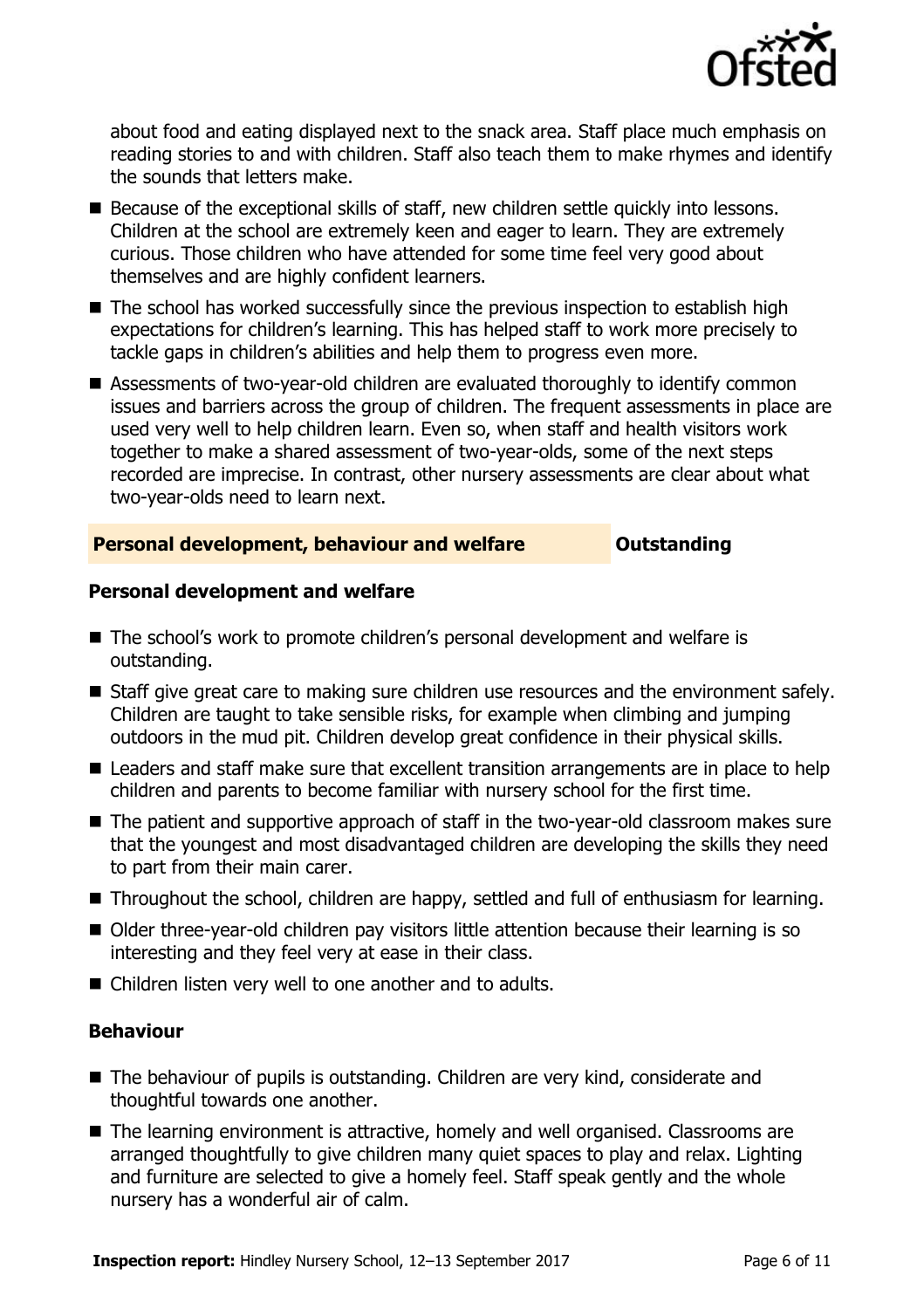

about food and eating displayed next to the snack area. Staff place much emphasis on reading stories to and with children. Staff also teach them to make rhymes and identify the sounds that letters make.

- Because of the exceptional skills of staff, new children settle quickly into lessons. Children at the school are extremely keen and eager to learn. They are extremely curious. Those children who have attended for some time feel very good about themselves and are highly confident learners.
- The school has worked successfully since the previous inspection to establish high expectations for children's learning. This has helped staff to work more precisely to tackle gaps in children's abilities and help them to progress even more.
- Assessments of two-year-old children are evaluated thoroughly to identify common issues and barriers across the group of children. The frequent assessments in place are used very well to help children learn. Even so, when staff and health visitors work together to make a shared assessment of two-year-olds, some of the next steps recorded are imprecise. In contrast, other nursery assessments are clear about what two-year-olds need to learn next.

### **Personal development, behaviour and welfare <b>COUTS** Outstanding

### **Personal development and welfare**

- The school's work to promote children's personal development and welfare is outstanding.
- Staff give great care to making sure children use resources and the environment safely. Children are taught to take sensible risks, for example when climbing and jumping outdoors in the mud pit. Children develop great confidence in their physical skills.
- Leaders and staff make sure that excellent transition arrangements are in place to help children and parents to become familiar with nursery school for the first time.
- The patient and supportive approach of staff in the two-year-old classroom makes sure that the youngest and most disadvantaged children are developing the skills they need to part from their main carer.
- Throughout the school, children are happy, settled and full of enthusiasm for learning.
- Older three-year-old children pay visitors little attention because their learning is so interesting and they feel very at ease in their class.
- Children listen very well to one another and to adults.

### **Behaviour**

- The behaviour of pupils is outstanding. Children are very kind, considerate and thoughtful towards one another.
- The learning environment is attractive, homely and well organised. Classrooms are arranged thoughtfully to give children many quiet spaces to play and relax. Lighting and furniture are selected to give a homely feel. Staff speak gently and the whole nursery has a wonderful air of calm.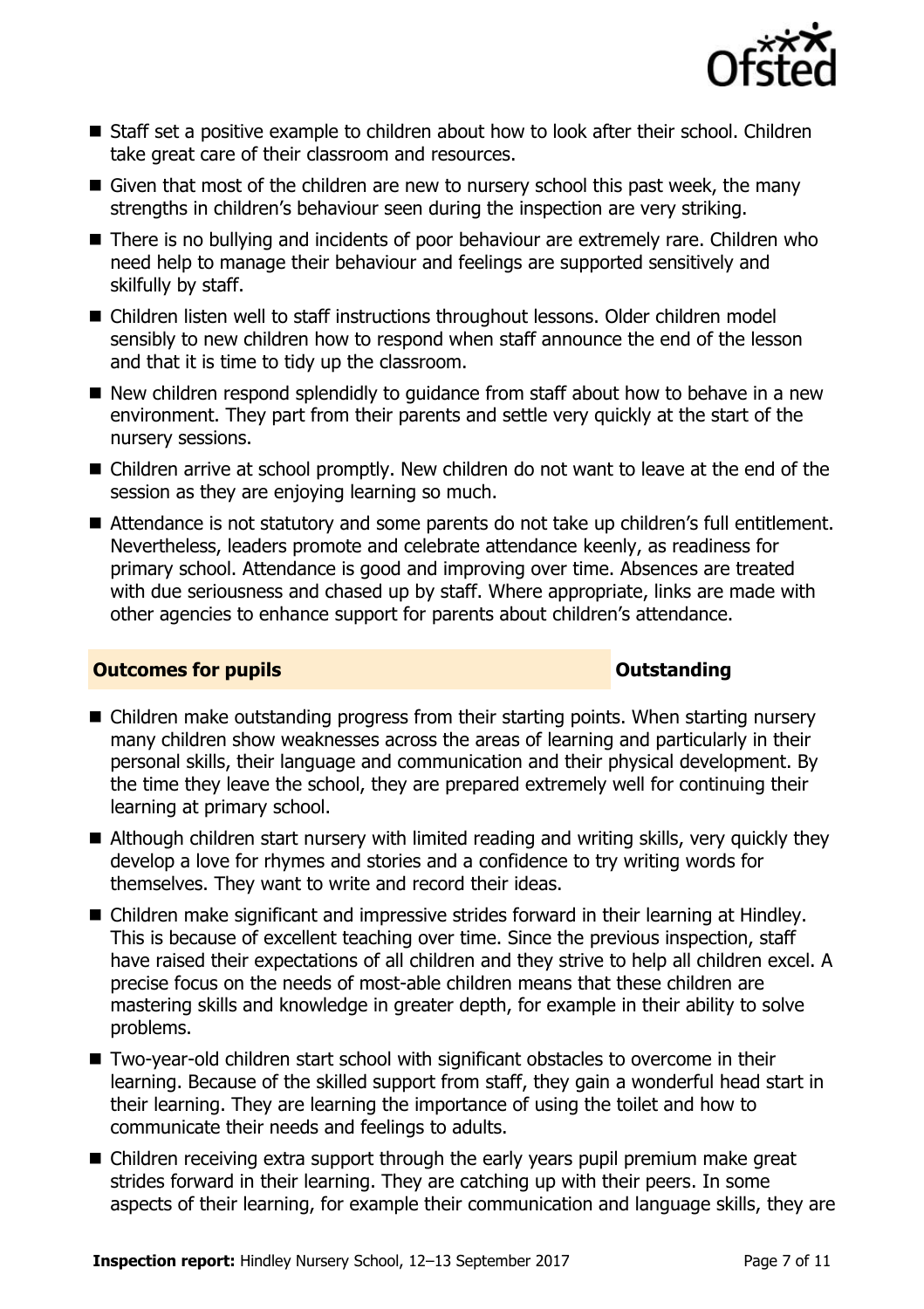

- Staff set a positive example to children about how to look after their school. Children take great care of their classroom and resources.
- Given that most of the children are new to nursery school this past week, the many strengths in children's behaviour seen during the inspection are very striking.
- There is no bullying and incidents of poor behaviour are extremely rare. Children who need help to manage their behaviour and feelings are supported sensitively and skilfully by staff.
- Children listen well to staff instructions throughout lessons. Older children model sensibly to new children how to respond when staff announce the end of the lesson and that it is time to tidy up the classroom.
- New children respond splendidly to guidance from staff about how to behave in a new environment. They part from their parents and settle very quickly at the start of the nursery sessions.
- Children arrive at school promptly. New children do not want to leave at the end of the session as they are enjoying learning so much.
- Attendance is not statutory and some parents do not take up children's full entitlement. Nevertheless, leaders promote and celebrate attendance keenly, as readiness for primary school. Attendance is good and improving over time. Absences are treated with due seriousness and chased up by staff. Where appropriate, links are made with other agencies to enhance support for parents about children's attendance.

### **Outcomes for pupils Outstanding**

- Children make outstanding progress from their starting points. When starting nursery many children show weaknesses across the areas of learning and particularly in their personal skills, their language and communication and their physical development. By the time they leave the school, they are prepared extremely well for continuing their learning at primary school.
- Although children start nursery with limited reading and writing skills, very quickly they develop a love for rhymes and stories and a confidence to try writing words for themselves. They want to write and record their ideas.
- Children make significant and impressive strides forward in their learning at Hindley. This is because of excellent teaching over time. Since the previous inspection, staff have raised their expectations of all children and they strive to help all children excel. A precise focus on the needs of most-able children means that these children are mastering skills and knowledge in greater depth, for example in their ability to solve problems.
- Two-year-old children start school with significant obstacles to overcome in their learning. Because of the skilled support from staff, they gain a wonderful head start in their learning. They are learning the importance of using the toilet and how to communicate their needs and feelings to adults.
- Children receiving extra support through the early years pupil premium make great strides forward in their learning. They are catching up with their peers. In some aspects of their learning, for example their communication and language skills, they are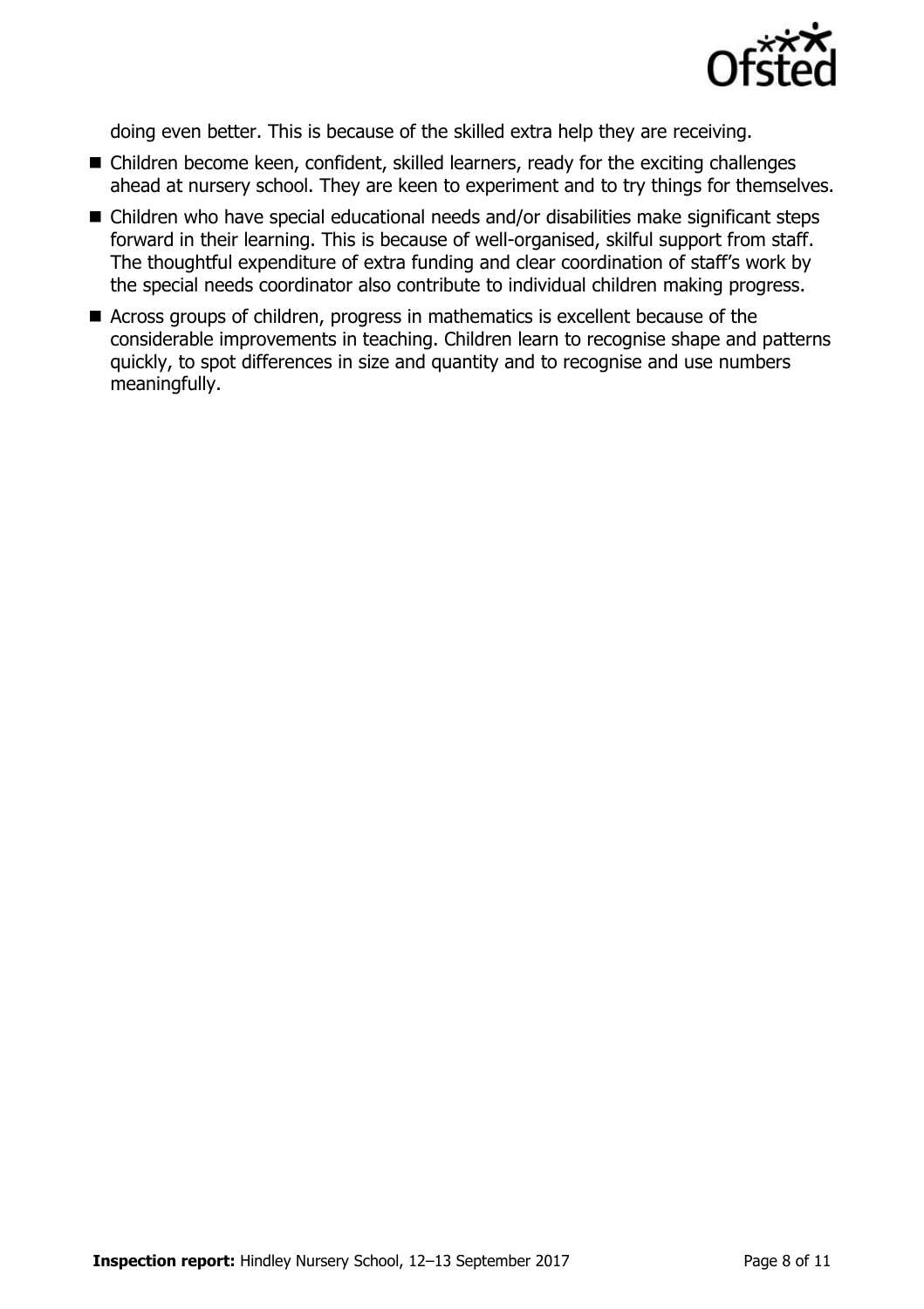

doing even better. This is because of the skilled extra help they are receiving.

- Children become keen, confident, skilled learners, ready for the exciting challenges ahead at nursery school. They are keen to experiment and to try things for themselves.
- Children who have special educational needs and/or disabilities make significant steps forward in their learning. This is because of well-organised, skilful support from staff. The thoughtful expenditure of extra funding and clear coordination of staff's work by the special needs coordinator also contribute to individual children making progress.
- Across groups of children, progress in mathematics is excellent because of the considerable improvements in teaching. Children learn to recognise shape and patterns quickly, to spot differences in size and quantity and to recognise and use numbers meaningfully.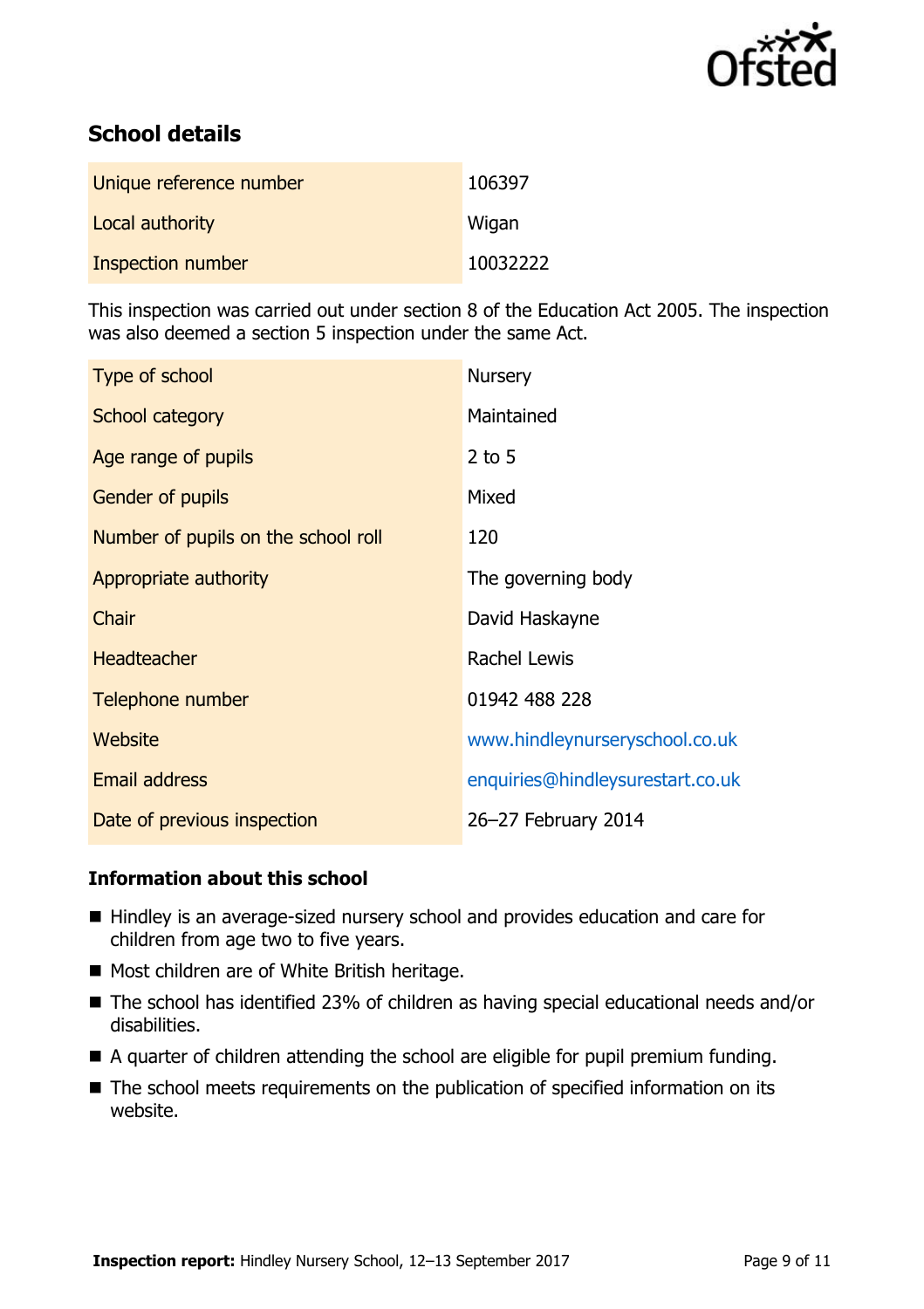

# **School details**

| Unique reference number | 106397   |
|-------------------------|----------|
| Local authority         | Wigan    |
| Inspection number       | 10032222 |

This inspection was carried out under section 8 of the Education Act 2005. The inspection was also deemed a section 5 inspection under the same Act.

| Type of school                      | <b>Nursery</b>                   |
|-------------------------------------|----------------------------------|
| School category                     | Maintained                       |
| Age range of pupils                 | $2$ to 5                         |
| <b>Gender of pupils</b>             | Mixed                            |
| Number of pupils on the school roll | 120                              |
| Appropriate authority               | The governing body               |
| Chair                               | David Haskayne                   |
| <b>Headteacher</b>                  | Rachel Lewis                     |
| Telephone number                    | 01942 488 228                    |
| Website                             | www.hindleynurseryschool.co.uk   |
| Email address                       | enquiries@hindleysurestart.co.uk |
| Date of previous inspection         | 26-27 February 2014              |

### **Information about this school**

- Hindley is an average-sized nursery school and provides education and care for children from age two to five years.
- Most children are of White British heritage.
- The school has identified 23% of children as having special educational needs and/or disabilities.
- A quarter of children attending the school are eligible for pupil premium funding.
- The school meets requirements on the publication of specified information on its website.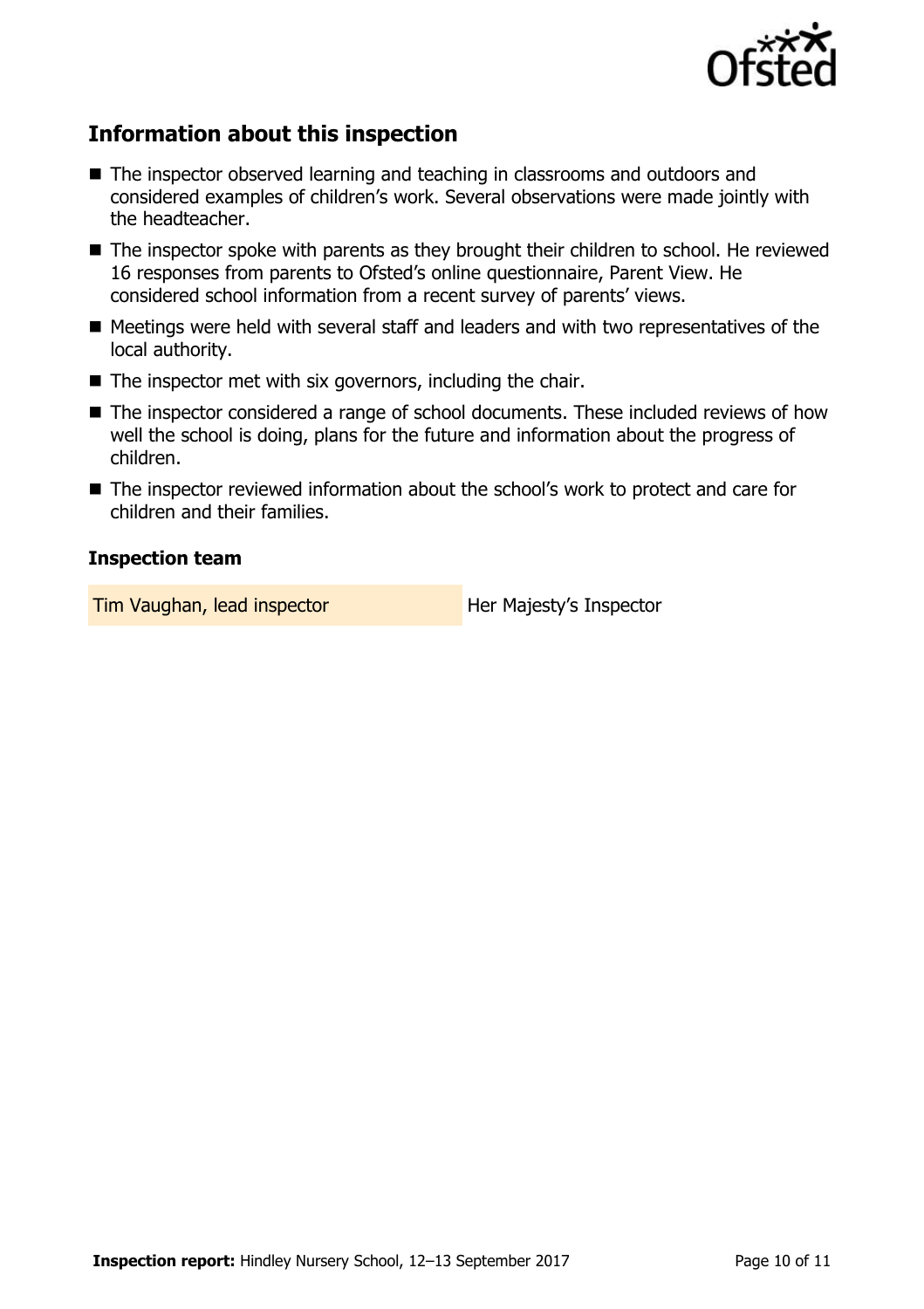

# **Information about this inspection**

- The inspector observed learning and teaching in classrooms and outdoors and considered examples of children's work. Several observations were made jointly with the headteacher.
- The inspector spoke with parents as they brought their children to school. He reviewed 16 responses from parents to Ofsted's online questionnaire, Parent View. He considered school information from a recent survey of parents' views.
- Meetings were held with several staff and leaders and with two representatives of the local authority.
- $\blacksquare$  The inspector met with six governors, including the chair.
- The inspector considered a range of school documents. These included reviews of how well the school is doing, plans for the future and information about the progress of children.
- The inspector reviewed information about the school's work to protect and care for children and their families.

### **Inspection team**

**Tim Vaughan, lead inspector Her Majesty's Inspector**